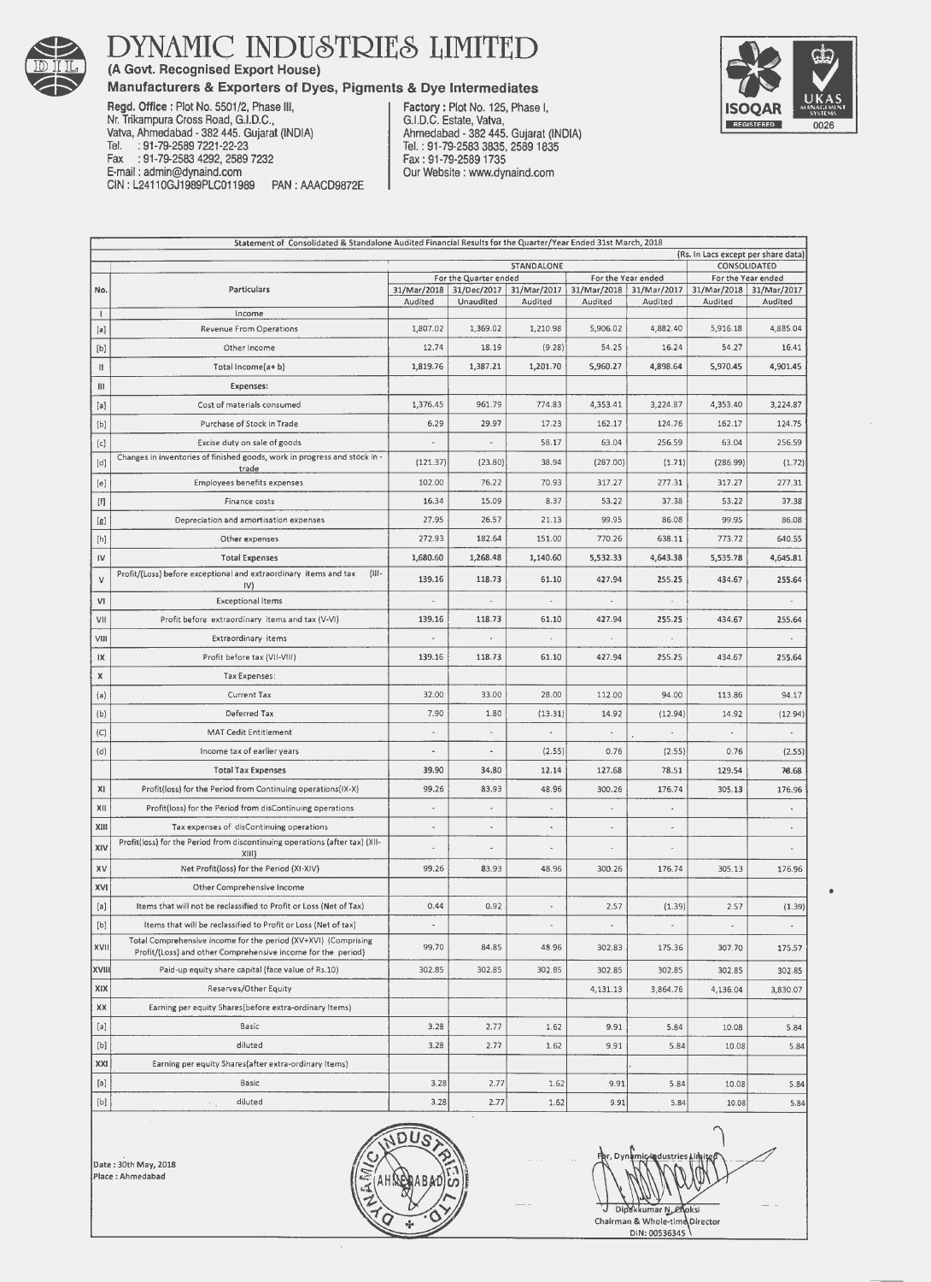

## **DYNAMIC INDUSTRIES LIMITED**

**(A Govt. Recognised Export House)** 

### **Manufacturers & Exporters of Dyes, Pigments & Dye Intermediates**



**Factory:** Plot No. 125, Phase I, G.I.D.C. Estate, Vatva, Ahmedabad - 382 445. Gujarat (INDIA) Tel.: 91-79-2583 3835, 25891835 Fax : 91-79-2589 1735 Our Website : www.dynaind.com



| Statement of Consolidated & Standalone Audited Financial Results for the Quarter/Year Ended 31st March, 2018                                                                                                                                                                                                                                                                                                                                                                                                                                                                                                                                                |                                                                                                                                |                                                                    |                       |                                               |                |                                                  |                              |           |  |  |
|-------------------------------------------------------------------------------------------------------------------------------------------------------------------------------------------------------------------------------------------------------------------------------------------------------------------------------------------------------------------------------------------------------------------------------------------------------------------------------------------------------------------------------------------------------------------------------------------------------------------------------------------------------------|--------------------------------------------------------------------------------------------------------------------------------|--------------------------------------------------------------------|-----------------------|-----------------------------------------------|----------------|--------------------------------------------------|------------------------------|-----------|--|--|
|                                                                                                                                                                                                                                                                                                                                                                                                                                                                                                                                                                                                                                                             | (Rs. In Lacs except per share data)                                                                                            |                                                                    |                       |                                               |                |                                                  |                              |           |  |  |
|                                                                                                                                                                                                                                                                                                                                                                                                                                                                                                                                                                                                                                                             |                                                                                                                                | STANDALONE                                                         |                       |                                               |                |                                                  | CONSOLIDATED                 |           |  |  |
| No.                                                                                                                                                                                                                                                                                                                                                                                                                                                                                                                                                                                                                                                         | <b>Particulars</b>                                                                                                             | For the Quarter ended<br>31/Mar/2018<br>31/Dec/2017<br>31/Mar/2017 |                       | For the Year ended<br>31/Mar/2018 31/Mar/2017 |                | For the Year ended<br>31/Mar/2018<br>31/Mar/2017 |                              |           |  |  |
|                                                                                                                                                                                                                                                                                                                                                                                                                                                                                                                                                                                                                                                             |                                                                                                                                | Audited                                                            | Unaudited             | Audited                                       | Audited        | Audited                                          | Audited                      | Audited   |  |  |
| т.                                                                                                                                                                                                                                                                                                                                                                                                                                                                                                                                                                                                                                                          | Income                                                                                                                         |                                                                    |                       |                                               |                |                                                  |                              |           |  |  |
| [a]                                                                                                                                                                                                                                                                                                                                                                                                                                                                                                                                                                                                                                                         | Revenue From Operations                                                                                                        | 1,807.02                                                           | 1,369.02              | 1,210.98                                      | 5,906.02       | 4,882.40                                         | 5,916.18                     | 4,885.04  |  |  |
| [b]                                                                                                                                                                                                                                                                                                                                                                                                                                                                                                                                                                                                                                                         | Other Income                                                                                                                   | 12.74                                                              | 18.19                 | (9.28)                                        | 54.25          | 16.24                                            | 54.27                        | 16.41     |  |  |
| Ш                                                                                                                                                                                                                                                                                                                                                                                                                                                                                                                                                                                                                                                           | Total Income(a+b)                                                                                                              | 1,819.76                                                           | 1,387.21              | 1,201.70                                      | 5,960.27       | 4,898.64                                         | 5,970.45                     | 4,901.45  |  |  |
| Ш                                                                                                                                                                                                                                                                                                                                                                                                                                                                                                                                                                                                                                                           | Expenses:                                                                                                                      |                                                                    |                       |                                               |                |                                                  |                              |           |  |  |
| [a]                                                                                                                                                                                                                                                                                                                                                                                                                                                                                                                                                                                                                                                         | Cost of materials consumed                                                                                                     | 1,376.45                                                           | 961.79                | 774.83                                        | 4,353.41       | 3,224.87                                         | 4,353.40                     | 3,224.87  |  |  |
| [b]                                                                                                                                                                                                                                                                                                                                                                                                                                                                                                                                                                                                                                                         | Purchase of Stock in Trade                                                                                                     | 6.29                                                               | 29.97                 | 17.23                                         | 162.17         | 124.76                                           | 162.17                       | 124.75    |  |  |
| [c]                                                                                                                                                                                                                                                                                                                                                                                                                                                                                                                                                                                                                                                         | Excise duty on sale of goods                                                                                                   | <b>A</b>                                                           | $\tilde{\phantom{a}}$ | 58.17                                         | 63.04          | 256.59                                           | 63.04                        | 256.59    |  |  |
| [d]                                                                                                                                                                                                                                                                                                                                                                                                                                                                                                                                                                                                                                                         | Changes in inventories of finished goods, work in progress and stock in -<br>trade                                             | (121.37)                                                           | (23.80)               | 38.94                                         | (287.00)       | (1.71)                                           | (286.99)                     | (1.72)    |  |  |
| [e]                                                                                                                                                                                                                                                                                                                                                                                                                                                                                                                                                                                                                                                         | Employees benefits expenses                                                                                                    | 102.00                                                             | 76.22                 | 70.93                                         | 317.27         | 277.31                                           | 317.27                       | 277.31    |  |  |
| [f]                                                                                                                                                                                                                                                                                                                                                                                                                                                                                                                                                                                                                                                         | Finance costs                                                                                                                  | 16.34                                                              | 15.09                 | 8.37                                          | 53.22          | 37.38                                            | 53.22                        | 37.38     |  |  |
| [g]                                                                                                                                                                                                                                                                                                                                                                                                                                                                                                                                                                                                                                                         | Depreciation and amortisation expenses                                                                                         | 27.95                                                              | 26.57                 | 21.13                                         | 99.95          | 86.08                                            | 99.95                        | 86.08     |  |  |
| [h]                                                                                                                                                                                                                                                                                                                                                                                                                                                                                                                                                                                                                                                         | Other expenses                                                                                                                 | 272.93                                                             | 182.64                | 151.00                                        | 770.26         | 638.11                                           | 773.72                       | 640.55    |  |  |
| IV                                                                                                                                                                                                                                                                                                                                                                                                                                                                                                                                                                                                                                                          | <b>Total Expenses</b>                                                                                                          | 1,680.60                                                           | 1,268.48              | 1,140.60                                      | 5,532.33       | 4,643.38                                         | 5,535.78                     | 4,645.81  |  |  |
| ٧                                                                                                                                                                                                                                                                                                                                                                                                                                                                                                                                                                                                                                                           | Profit/(Loss) before exceptional and extraordinary items and tax<br>$(III -$<br>IV)                                            | 139.16                                                             | 118.73                | 61.10                                         | 427.94         | 255.25                                           | 434.67                       | 255.64    |  |  |
| V1                                                                                                                                                                                                                                                                                                                                                                                                                                                                                                                                                                                                                                                          | <b>Exceptional Items</b>                                                                                                       |                                                                    |                       |                                               |                |                                                  |                              |           |  |  |
| VII                                                                                                                                                                                                                                                                                                                                                                                                                                                                                                                                                                                                                                                         | Profit before extraordinary items and tax (V-VI)                                                                               | 139.16                                                             | 118.73                | 61.10                                         | 427.94         | 255.25                                           | 434.67                       | 255.64    |  |  |
| VIII                                                                                                                                                                                                                                                                                                                                                                                                                                                                                                                                                                                                                                                        | Extraordinary items                                                                                                            | ä,                                                                 | ä,                    |                                               | ٠              |                                                  |                              |           |  |  |
| IX                                                                                                                                                                                                                                                                                                                                                                                                                                                                                                                                                                                                                                                          | Profit before tax (VII-VIII)                                                                                                   | 139.16                                                             | 118.73                | 61.10                                         | 427.94         | 255.25                                           | 434.67                       | 255.64    |  |  |
| X                                                                                                                                                                                                                                                                                                                                                                                                                                                                                                                                                                                                                                                           | Tax Expenses:                                                                                                                  |                                                                    |                       |                                               |                |                                                  |                              |           |  |  |
| (a)                                                                                                                                                                                                                                                                                                                                                                                                                                                                                                                                                                                                                                                         | Current Tax                                                                                                                    | 32.00                                                              | 33.00                 | 28.00                                         | 112.00         | 94.00                                            | 113.86                       | 94.17     |  |  |
| (b)                                                                                                                                                                                                                                                                                                                                                                                                                                                                                                                                                                                                                                                         | Deferred Tax                                                                                                                   | 7.90                                                               | 1.80                  | (13.31)                                       | 14.92          | (12.94)                                          | 14.92                        | (12.94)   |  |  |
| (C)                                                                                                                                                                                                                                                                                                                                                                                                                                                                                                                                                                                                                                                         | <b>MAT Cedit Entitlement</b>                                                                                                   |                                                                    |                       |                                               |                | $\cdot$                                          | $\tilde{\phantom{a}}$        |           |  |  |
| (d)                                                                                                                                                                                                                                                                                                                                                                                                                                                                                                                                                                                                                                                         | Income tax of earlier years                                                                                                    |                                                                    | $\frac{1}{2}$         | (2.55)                                        | 0.76           | (2.55)                                           | 0.76                         | (2.55)    |  |  |
|                                                                                                                                                                                                                                                                                                                                                                                                                                                                                                                                                                                                                                                             | <b>Total Tax Expenses</b>                                                                                                      | 39.90                                                              | 34.80                 | 12.14                                         | 127.68         | 78.51                                            | 129.54                       | 76.68     |  |  |
| χı                                                                                                                                                                                                                                                                                                                                                                                                                                                                                                                                                                                                                                                          | Profit(loss) for the Period from Continuing operations(IX-X)                                                                   | 99.26                                                              | 83.93                 | 48.96                                         | 300.26         | 176.74                                           | 305.13                       | 176.96    |  |  |
| XII                                                                                                                                                                                                                                                                                                                                                                                                                                                                                                                                                                                                                                                         | Profit(loss) for the Period from disContinuing operations                                                                      | $\overline{a}$                                                     | ä,                    | ٠                                             |                |                                                  |                              |           |  |  |
| XIII                                                                                                                                                                                                                                                                                                                                                                                                                                                                                                                                                                                                                                                        | Tax expenses of disContinuing operations                                                                                       |                                                                    |                       | $\blacksquare$                                |                |                                                  |                              |           |  |  |
| XIV                                                                                                                                                                                                                                                                                                                                                                                                                                                                                                                                                                                                                                                         | Profit(loss) for the Period from discontinuing operations (after tax) (XII-<br>XIII                                            |                                                                    |                       |                                               |                |                                                  |                              |           |  |  |
| XV                                                                                                                                                                                                                                                                                                                                                                                                                                                                                                                                                                                                                                                          | Net Profit(loss) for the Period (XI-XIV)                                                                                       | 99.26                                                              | 83.93                 | 48.96                                         | 300.26         | 176.74                                           | 305.13                       | 176.96    |  |  |
| XVI                                                                                                                                                                                                                                                                                                                                                                                                                                                                                                                                                                                                                                                         | Other Comprehensive Income                                                                                                     |                                                                    |                       |                                               |                |                                                  |                              |           |  |  |
| [a]                                                                                                                                                                                                                                                                                                                                                                                                                                                                                                                                                                                                                                                         | Items that will not be reclassified to Profit or Loss (Net of Tax)                                                             | 0.44                                                               | 0.92                  |                                               | 2.57           | (1.39)                                           | 2.57                         | (1.39)    |  |  |
| [b]                                                                                                                                                                                                                                                                                                                                                                                                                                                                                                                                                                                                                                                         | Items that will be reclassified to Profit or Loss (Net of tax)                                                                 | $\overline{\phantom{a}}$                                           |                       | $\overline{\phantom{a}}$                      | $\blacksquare$ | $\overline{\phantom{a}}$                         | $\qquad \qquad \blacksquare$ | $\bullet$ |  |  |
| XVII                                                                                                                                                                                                                                                                                                                                                                                                                                                                                                                                                                                                                                                        | Total Comprehensive income for the period (XV+XVI) (Comprising<br>Profit/(Loss) and other Comprehensive income for the period) | 99.70                                                              | 84.85                 | 48.96                                         | 302.83         | 175.36                                           | 307.70                       | 175.57    |  |  |
| XVIII                                                                                                                                                                                                                                                                                                                                                                                                                                                                                                                                                                                                                                                       | Paid-up equity share capital (face value of Rs.10)                                                                             | 302.85                                                             | 302.85                | 302.85                                        | 302.85         | 302.85                                           | 302.85                       | 302.85    |  |  |
| X X                                                                                                                                                                                                                                                                                                                                                                                                                                                                                                                                                                                                                                                         | Reserves/Other Equity                                                                                                          |                                                                    |                       |                                               | 4,131.13       | 3,864.76                                         | 4,136.04                     | 3,830.07  |  |  |
| XX                                                                                                                                                                                                                                                                                                                                                                                                                                                                                                                                                                                                                                                          | Earning per equity Shares(before extra-ordinary Items)                                                                         |                                                                    |                       |                                               |                |                                                  |                              |           |  |  |
| [a]                                                                                                                                                                                                                                                                                                                                                                                                                                                                                                                                                                                                                                                         | Basic                                                                                                                          | 3.28                                                               | 2.77                  | 1.62                                          | 9.91           | 5.84                                             | 10.08                        | 5.84      |  |  |
| $[b] \centering% \includegraphics[width=0.9\columnwidth]{figures/fig_0a}% \includegraphics[width=0.9\columnwidth]{figures/fig_0b}% \includegraphics[width=0.9\columnwidth]{figures/fig_0b}% \includegraphics[width=0.9\columnwidth]{figures/fig_0b}% \includegraphics[width=0.9\columnwidth]{figures/fig_0b}% \includegraphics[width=0.9\columnwidth]{figures/fig_0b}% \includegraphics[width=0.9\columnwidth]{figures/fig_0b}% \includegraphics[width=0.9\columnwidth]{figures/fig_0b}% \includegraphics[width=0.9\columnwidth]{figures/fig_0b}% \includegraphics[width=0.9\columnwidth]{figures/fig_0b}% \includegraphics[width=0.9\columnwidth]{figures$ | diluted                                                                                                                        | 3.28                                                               | 2.77                  | 1.62                                          | 9.91           | 5.84                                             | 10.08                        | 5.84      |  |  |
| XXI                                                                                                                                                                                                                                                                                                                                                                                                                                                                                                                                                                                                                                                         | Earning per equity Shares(after extra-ordinary Items)                                                                          |                                                                    |                       |                                               |                |                                                  |                              |           |  |  |
| [a]                                                                                                                                                                                                                                                                                                                                                                                                                                                                                                                                                                                                                                                         | Basic                                                                                                                          | 3.28                                                               | 2.77                  | 1.62                                          | 9.91           | 5.84                                             | 10.08                        | 5.84      |  |  |
| $[b] \centering% \includegraphics[width=0.9\columnwidth]{figures/fig_0a}% \includegraphics[width=0.9\columnwidth]{figures/fig_0b}% \includegraphics[width=0.9\columnwidth]{figures/fig_0b}% \includegraphics[width=0.9\columnwidth]{figures/fig_0b}% \includegraphics[width=0.9\columnwidth]{figures/fig_0b}% \includegraphics[width=0.9\columnwidth]{figures/fig_0b}% \includegraphics[width=0.9\columnwidth]{figures/fig_0b}% \includegraphics[width=0.9\columnwidth]{figures/fig_0b}% \includegraphics[width=0.9\columnwidth]{figures/fig_0b}% \includegraphics[width=0.9\columnwidth]{figures/fig_0b}% \includegraphics[width=0.9\columnwidth]{figures$ | diluted                                                                                                                        | 3.28                                                               | 2.77                  | 1.62                                          | 9.91           | 5.84                                             | 10.08                        | 5.84      |  |  |

Date : 30th May, 2018 **Place :Ahmedabad** 



 $\bigcap$  $\frac{1}{2}$ er, Dynamic-ladustries Limited Dip'll'k umar:~~ksi **Chairman & Whole-tim Director**  DIN: 00536345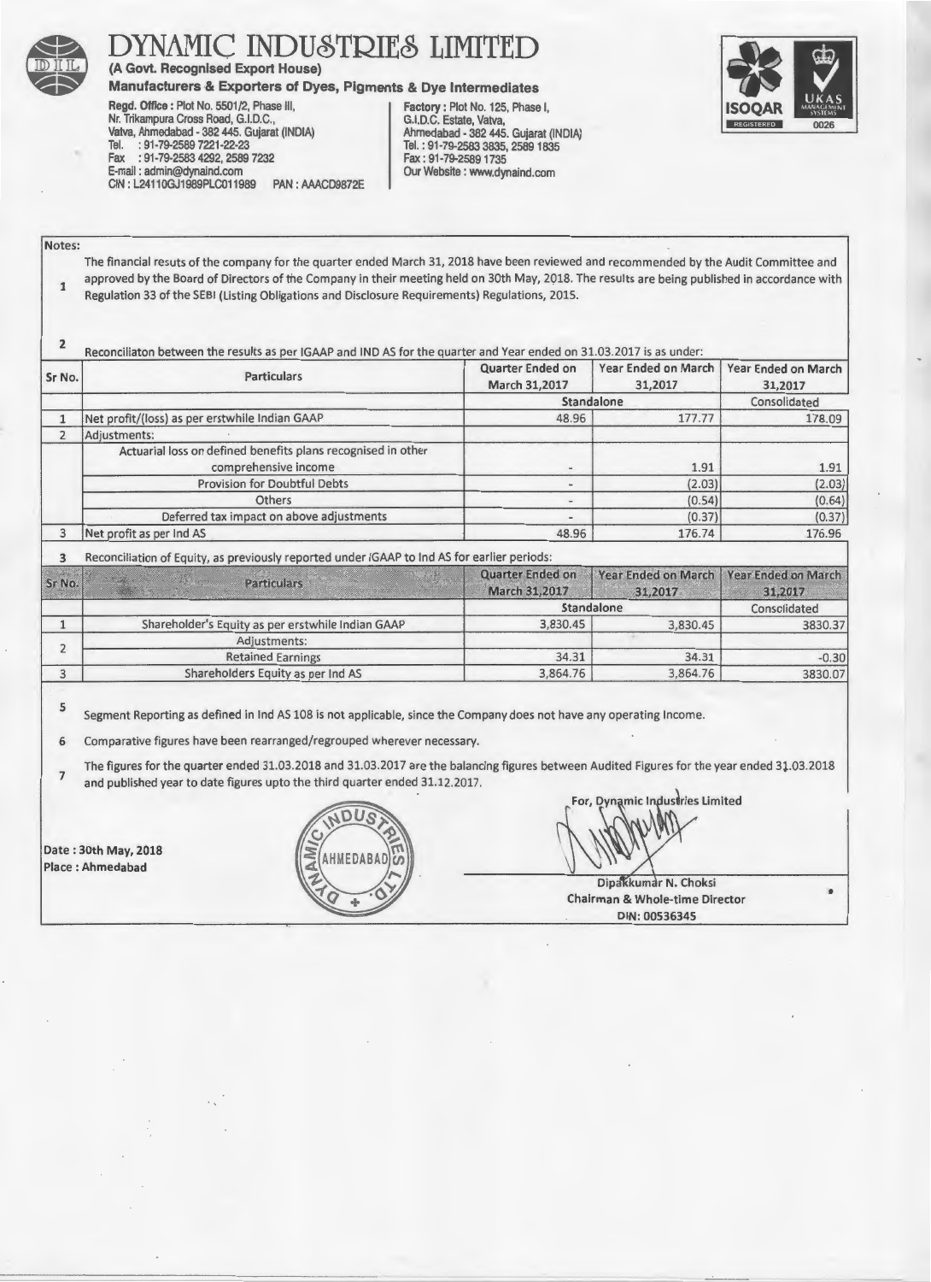

YNAMIC INDUSTRIES LIMITED

(A Govt. Recognised Export House)

Manufacturers & Exporters of Dyes, Pigments & Dye Intermediates<br>
Regd. Office: Plot No. 5501/2, Phase III,<br>
Nr. Trikampura Cross Road, G.I.D.C.,<br>
Nr. Trikampura Cross Road, G.I.D.C.,<br>
G.I.D.C. Estate, Vatva, Regd. Office: Plot No. 5501/2, Phase III. Nr. Trikampura Cross Road, G.I.D.C., G. I.D.C., G.I.D.C. Estate, Vatva, G.I.D.C. Estate, Vatva, G.I.D.C. Estate, Vatva, G.I.D.C. I. D.I.D. Vatva, Ahmedabad - 382 445. Gujarat (INDIA)<br>Tel. : 91-79-2589 7221-22-23 Fax : 91-79-2583 4292, 2589 7232<br>E-mail: admin@dynaind.com CIN : L24110GJ1989PLC011989

Tel. : 91-79-2583 3835, 2589 1835<br>Fax : 91-79-2589 1735 PAN : AAACD9872E Our Website : www.dynaind.com



Notes:

The financial resuts of the company for the quarter ended March 31, 2018 have been reviewed and recommended by the Audit Committee and approved by the Board of Directors of the Company in their meeting held on 30th May, 2018. The results are being published in accordance with Regulation 33 of the SEBI (Listing Obligations and Disclosure Requirements) Regulations, 2015.

2 Reconciliaton between the results as per IGAAP and IND AS for the quarter and Year ended on 31.03.2017 is as under:

| Sr No.         | <b>Particulars</b>                                                                          | Quarter Ended on<br>March 31,2017 | Year Ended on March<br>31,2017 | Year Ended on March<br>31,2017 |
|----------------|---------------------------------------------------------------------------------------------|-----------------------------------|--------------------------------|--------------------------------|
|                |                                                                                             | Standalone                        | Consolidated                   |                                |
|                | Net profit/(loss) as per erstwhile Indian GAAP                                              | 48.96                             | 177.77                         | 178.09                         |
|                | Adjustments:                                                                                |                                   |                                |                                |
|                | Actuarial loss on defined benefits plans recognised in other<br>comprehensive income        |                                   | 1.91                           | 1.91                           |
|                | <b>Provision for Doubtful Debts</b>                                                         |                                   | (2.03)                         | (2.03)                         |
|                | Others                                                                                      |                                   | (0.54)                         | (0.64)                         |
|                | Deferred tax impact on above adjustments                                                    |                                   | (0.37)                         | (0.37)                         |
| $\overline{3}$ | Net profit as per Ind AS                                                                    | 48.96                             | 176.74                         | 176.96                         |
|                | Reconciliation of Equity, as previously reported under IGAAP to Ind AS for earlier periods: |                                   |                                |                                |

*\*'* Quarter En~ed on Year Ended on March ,Year Ended on March Sr No. Particulars .,, March 31,2017 31,2017 31,2017 Standalone Consolidated 1 Shareholder's Equity as per erstwhile Indian GAAP 3,830.45 3,830.45 3830.37 Adjustments: . 2 Retained Earnings 34.31 34.31 34.31 34.31 -0.30<br>
olders Equity as per Ind AS 3.864.76 3830.07 3 Shareholders Equity as per Ind AS

5 Segment Reporting as defined in lnd AS 108 is not applicable, since the Company does not have any operating Income.

6 Comparative figures have been rearranged/regrouped wherever necessary.

7 The figures for the quarter ended 31.03.2018 and 31.03.2017 are the balancing figures between Audited Figures for the year ended 31.03.2018 and published year to date figures upto the third quarter ended 31.12.2017.<br>  $\sqrt{DUS}$ 

Date : 30th May, 2018<br>Place : Ahmedabad

C. MOOS AN

For, Dynamic Industries Limited  $\mathcal{D}_{\text{ate}: 30th \, \text{May, 2018}}$ 

Dipakkumar N. Choksi ~Q + .()'t • Chairman & Whole-time Director - DIN: 00536345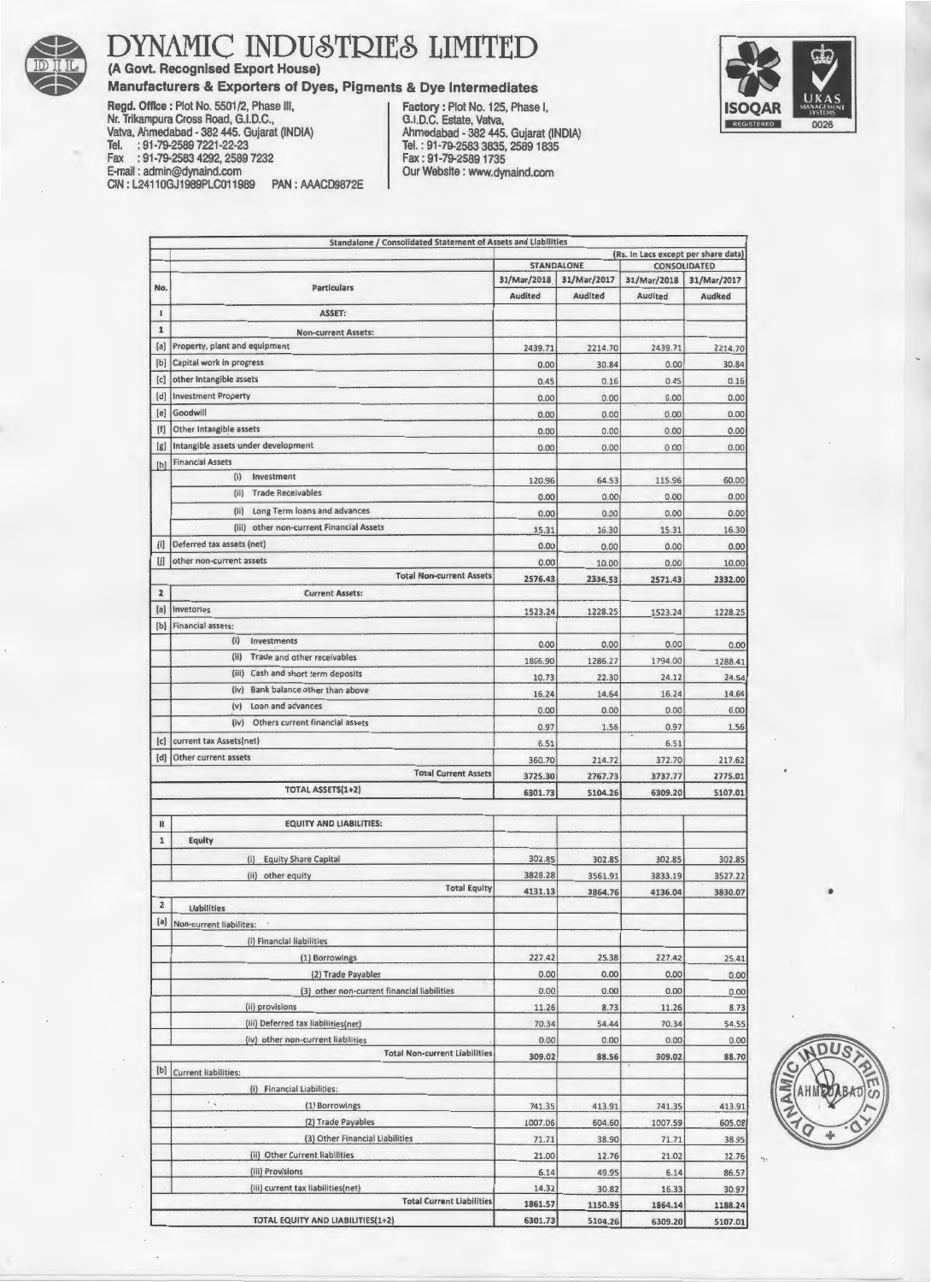

**DYNAMIC INDUSTRIES LIMITED** 

**(A Govt. Recognised Export House)** 





**Manufacturers & Exporters of Dyes, Pigments & Dye Intermediates<br>
Regd. Office: Plot No. 5501/2, Phase III, Factory: Plot No. 125, Phase I,<br>
Nr. Trikampura Cross Road, G.I.D.C., State, Vatva, Regd. Office: Plot No. 5501/2, Phase III,** Nr. Trikampura Cross Road, G.I.D.C., G.I.D.C. Estate, Vatva, Valva, Valva, Valva, Valva, Valva, Valva, Valva, Valva, Valva, Valva, Valva, Valva, Valva, Valva, Valva, Valva, Valva, Valva, Valva, Valva, Valva, Valva, Valva, Vatva, Ahmedabad - 382 445. Gujarat (INDIA)<br>Tel. : 91-79-2589 7221-22-23 Fax : 91-79-2583 4292, 2589 7232<br>E-mail: admin@dynaind.com PAN : AAACD9872E Our Website : www.dynaind.com CIN : L24110GJ1989PLC011989

**Standalone I Consolidated Statement of Assets and liabilities {Rs. In lacs except per share data)**  STANDALONE CONSOLIDATED<br>31/Mar/2018 31/Mar/2017 31/Mar/2018 31/Mar/2017 No. **Particulars** 31/Mar/2018. 31/Mar/2017 31/Mar/2018 31/Mar/2017 **Audited Audited Audited Audited**  I ASSET: 1 **Non-current Assets:**  (a] **Property, plant and equipment** 2439.71 2214.70 2439.71 2214.70 (b] **Capital work in progress** 0.00 30.84 0.00 30.84 (c) **other Intangible assets** 0.45 0.16 0.45 0.16 (d) **Investment Property** 0.00 0.00 0.00 0.00 (e) Goodwill 0.00 0.00 0.00 0.00 (f) **Other lntangib.le assets** 0.00 0.00 0.00 0.00 (g) **Intangible assets under development** 0.00 0.00 0.00 0.00 (h] **Financial Assets**  (i) **Investment** 120.96 64.53 115.96 60.00 (ii) **Trade Receivables** 0.00 0.00 0.00 0.00 (ii) **long Term loans and advances** 0.00 0.00 0.00 0.00 (iii) **other non-current Financial Assets** 15.31 16.30 15.31 16.30 (i] **Deferred tax assets (net)** 0.00 0.00 0.00 0.00 (j] **other non-current assets** 0.00 10.00 0.00 10.00 **Total Non·current Assets** 2576.43 2336.53 2571.43 2332.00 2 **Current Assets:**  (a] **lnvetories** 1523.24 1228.25 1523.24 1228.25 [b] **Financial assets:** (i) **Investments** 0.00 0.00 0.00 0.00 (ii) **Trade and other receivables** 1806.90 1286.27 1794.00 1288.41 (iii) **Cash and short term deposits** 10.73 22.30 24.12 24.54 (iv) **Bank balance other than above** 16.24 14.64 16.24 14.64 (v) **loan and advances** 0.00 0.00 0.00 0.00 (iv) **Others current financial assets** 0.97 1.56 0.97 1.56 **(c)** current tax Assets(net) **6.51** 6.51 {d) **Other current assets** 360.70 214.72 372.70 217.62 **Total Current Assets** 3725.30 2767.73 3737.77 2775.01 TOTAL ASSETS(1+2) 6301.73 6301.73 6309.20 6309.20 5107.01 II EQUITY AND LIABILITIES: 1 Equity {i) Eauitv Share Capital 302.85 302.85 302.85 302.85 (ii) other equity 3828.28 3561.91 3833.19 3527.22<br>
Total Equity 4121.12 386.26 4125.00 3830.07 **Total Equity** 4131.13 3864.76 4136.04 3830.07 • 2 **Liabilities**  (a] **Non·current liabilites: (i) Financial liabilities**  (1) Borrowings 227.42 25.38 227.42 25.41 (2) Trade Payables 0.00 0.00 0.00 0.00 0.00 0.00 (3) other non-current financial liabilities **0.00** 0.00 0.00 0.00 0.00 0.00 (ii) provisions 11.26 8.73 11.26 8.73 **(iii) Deferred tax liabilities{net)** 70.34 54.44 70.34 54.55 **(iv)** other non-current liabilities **1.1** 0.00 0.00 0.00 0.00 0.00 0.00 **Total Non-current Liabilities** 309.02 88.56 309.02 88.70 {b) **Current liabilities:**  (i) **Financial liabilities:**  (1) Borrowings 741.35 413.91 741.35 413.91 121 Trade Payables 1007.06 604.60 1007.59 605.08 **{3) Other Financial liabilities** 71.71 38.90 71.71 38.95 **(ii) Other Current liabilities** 21.00 12.76 21.02 12.76 **{iii) Provisions** 6.14 49.95 6.14 86.57 **liiil current tax liabilities( net)** 14.32 30.82 16.33 30.97 **Total Current liabilities** 1861.57 1150.9S 1864.14 1188.24 TOTAL EQUITY AND LIA81LITIES(l+2) 6301.73 5104.26 6309.20 S107.01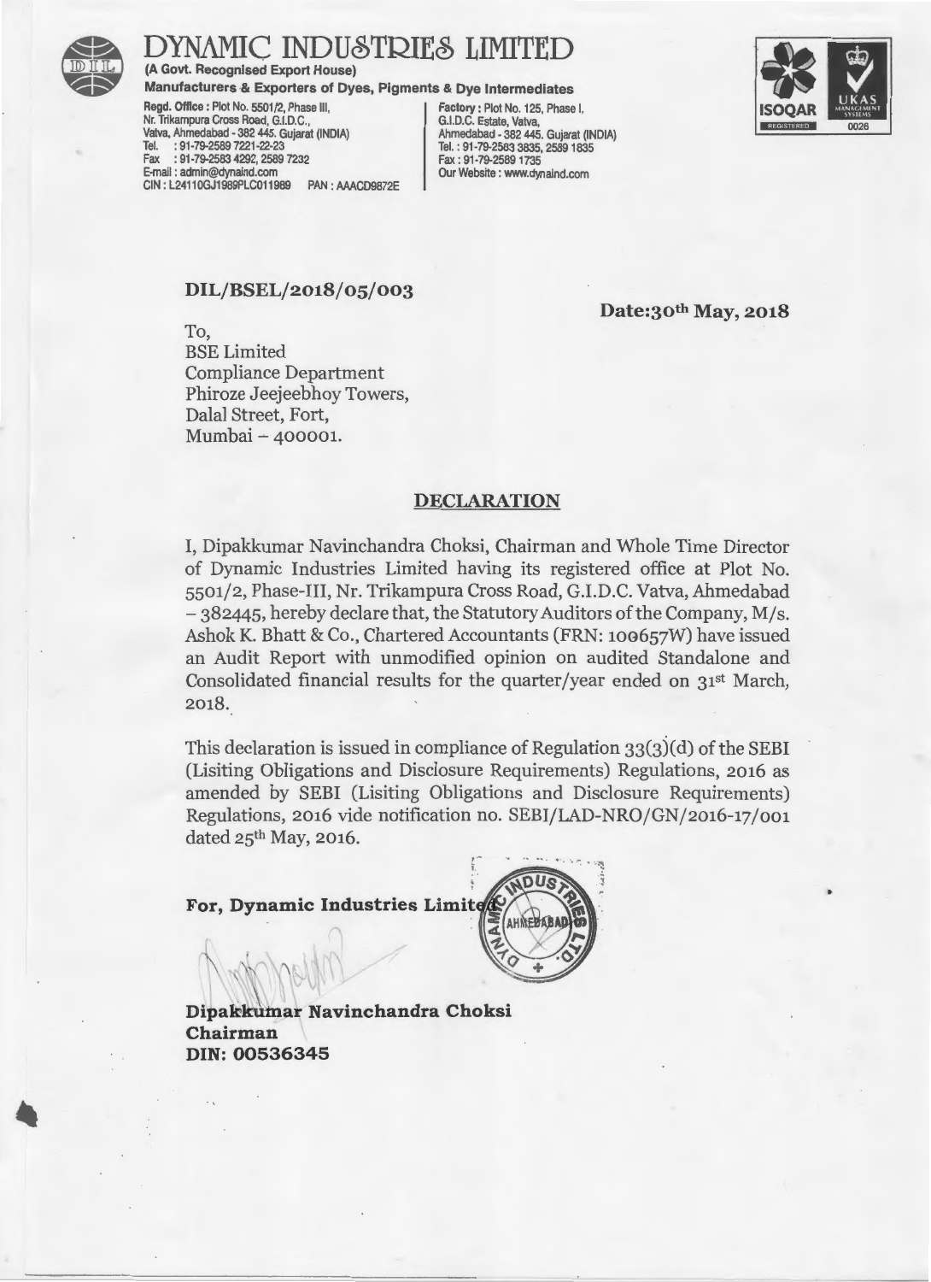

### AMIC INDUSTRIES LIMITED

(A Govt. Recognised Export House)

Manufacturers & Exporters of Dyes, Pigments & Dye Intermediates

Regd. Office: Plot No. 5501/2, Phase III, Factory: Plot No. 125, Phase I, Factory: Plot No. 125, Phase I, G.I.D.C. Nr. Trikampura Cross Road, G.I.D.C., G. (G.I.D.C. Estate, Vatva, G.I.D.C. Estate, Vatva, G.I.D.C. Estate, Vatva, G.I.D.C. Estate, Vatva, G.I.D.C. Estate, Vatva, G.I.D. Vatva, Ahmedabad - 382 445. Gujarat (INDIA)<br>Tel. : 91-79-2589 7221-22-23 Fax : 91-79-2583 4292, 2589 7232<br>E-mail: admin@dynaind.com CIN: L24110GJ1989PLC011989

Tel.: 91-79-2583 3835, 2589 1835<br>Fax: 91-79-2589 1735 PAN : AAACD9872E Our Website : www.dynaind.com



•

### DIL/BSEL/2018/05/003

Date:3oth May, 2018

To, BSE Limited Compliance Department Phiroze Jeejeebhoy Towers, Dalal Street, Fort, Mumbai ~ 400001.

#### DECLARATION

I, Dipakkumar Navinchandra Choksi, Chairman and Whole Time Director of Dynamic Industries Limited having its registered office at Plot No. 5501/2, Phase-III, Nr. Trikampura Cross Road, G.I.D.C. Vatva, Ahmedabad -382445, hereby declare that, the Statutory Auditors of the Company, M/s. Ashok K. Bhatt & Co., Chartered Accountants (FRN: 100657W) have issued an Audit Report with unmodified opinion on audited Standalone and Consolidated financial results for the quarter/year ended on 31st March, 2018.

This declaration is issued in compliance of Regulation  $33(3)(d)$  of the SEBI (Lisiting Obligations and Disclosure Requirements) Regulations, 2016 as amended by SEBI (Lisiting Obligations and Disclosure Requirements) Regulations, 2016 vide notification no. SEBI/LAD-NRO/GN/2016-17/001 dated 25<sup>th</sup> May, 2016.

For, Dynamic Industries Limit



Dipakkumar Navinchandra Choksi Chairman DIN:00536345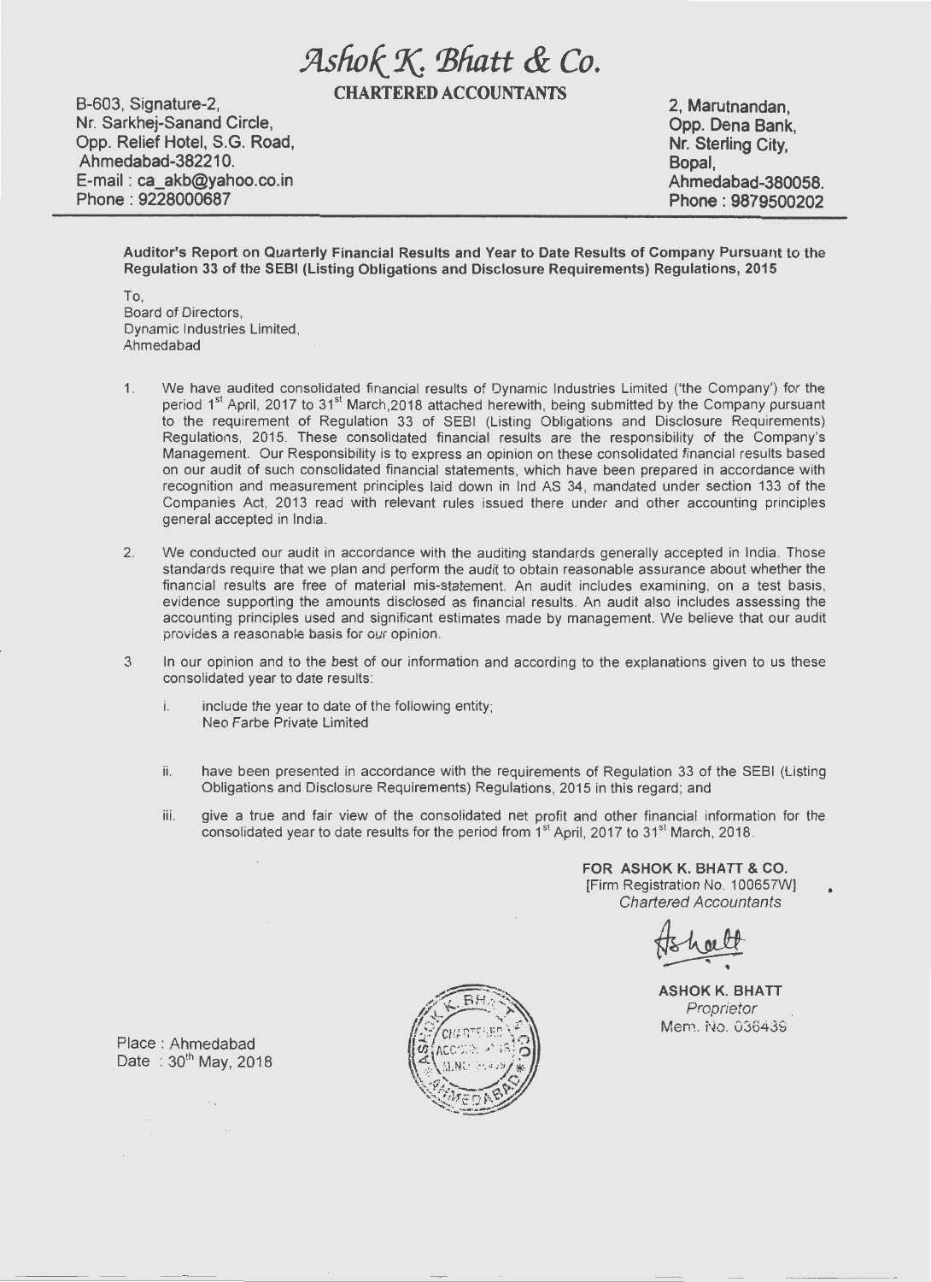## **fllsfwtX** *'Biiatt & Co.*

**CHARTERED ACCOUNTANTS** 

**B-603, Signature-2, Nr. Sarkhej-Sanand Circle, Opp. Relief Hotel, S.G. Road, Ahmedabad-38221 0. E-mail : ca\_akb@yahoo.co.in Phone : 9228000687** 

**2, Marutnandan, Opp. Dena Bank, Nr. Sterling City, Bopal, Ahmedabad-380058. Phone : 9879500202** 

**Auditor's Report on Quarterly Financial Results and Year to Date Results of Company Pursuant to the Regulation 33 of the SEBI (Listing Obligations and Disclosure Requirements) Regulations, 2015** 

To, Board of Directors, Dynamic Industries Limited, Ahmedabad

- 1. We have audited consolidated financial results of Dynamic Industries Limited ('the Company') for the period 1<sup>st</sup> April, 2017 to 31<sup>st</sup> March,2018 attached herewith, being submitted by the Company pursuant to the requirement of Regulation 33 of SEBI (Listing Obligations and Disclosure Requirements) Regulations, 2015. These consolidated financial results are the responsibility of the Company's Management. Our Responsibility is to express an opinion on these consolidated financial results based on our audit of such consolidated financial statements, which have been prepared in accordance with recognition and measurement principles laid down in lnd AS 34, mandated under section 133 of the Companies Act, 2013 read with relevant rules issued there under and other accounting principles general accepted in India.
- 2. We conducted our audit in accordance with the auditing standards generally accepted in India. Those standards require that we plan and perform the audit to obtain reasonable assurance about whether the financial results are free of material mis-statement. An audit includes examining, on a test basis, evidence supporting the amounts disclosed as financial results. An audit also includes assessing the accounting principles used and significant estimates made by management. We believe that our audit provides a reasonable basis for our opinion.
- 3 In our opinion and to the best of our information and according to the explanations given to us these consolidated year to date results:
	- i. include the year to date of the following entity; Neo Farbe Private Limited
	- ii. have been presented in accordance with the requirements of Regulation 33 of the SEBI (Listing Obligations and Disclosure Requirements) Regulations, 2015 in this regard; and
	- iii. give a true and fair view of the consolidated net profit and other financial information for the consolidated year to date results for the period from  $1<sup>st</sup>$  April, 2017 to  $31<sup>st</sup>$  March, 2018.

**FOR ASHOK K. BHATT & CO.**  [Firm Registration No. 100657W] Chartered Accountants

**ASH OK K. BHATT**  Proprietor Mem. No. 036439

•



Place : Ahmedabad Date:  $30<sup>th</sup>$  May, 2018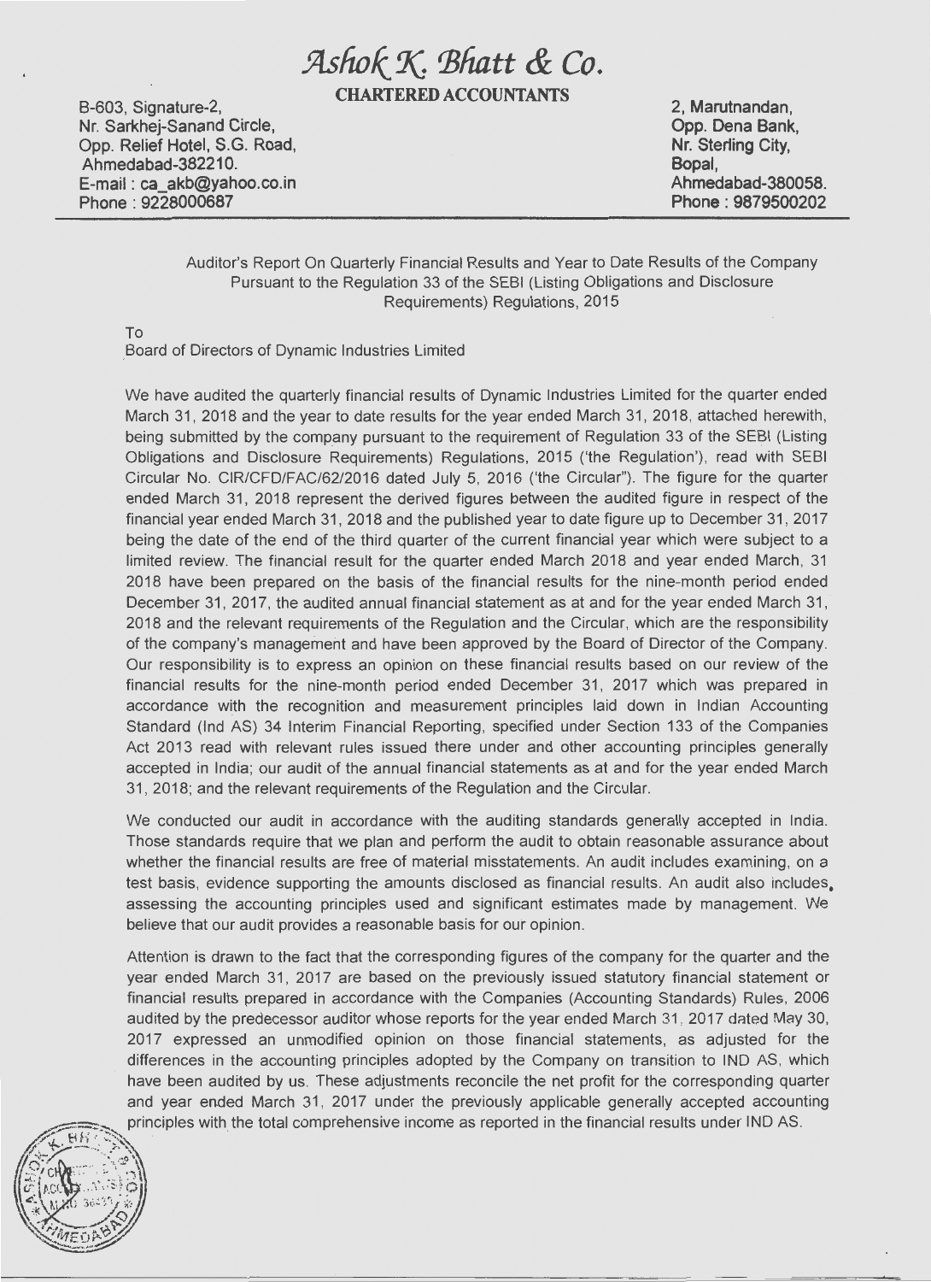# !itsfwkX *'Bhatt &* Co.

B-603, Signature-2, CHARTERED ACCOUNTANTS

Nr. Sarkhej-Sanand Circle, Opp. Relief Hotel, S.G. Road, Ahmedabad-382210. E-mail : ca\_akb@yahoo.co.in Phone : 9228000687

2, Marutnandan, Nr. Sterling City, Bopal, Ahmedabad-380058. Phone : 9879500202

Auditor's Report On Quarterly Financial Results and Year to Date Results of the Company Pursuant to the Regulation 33 of the SEBI (Listing Obligations and Disclosure Requirements) Regulations, 2015

To

\_Board of Directors of Dynamic Industries Limited

We have audited the quarterly financial results of Dynamic Industries Limited for the quarter ended March 31, 2018 and the year to date results for the year ended March 31, 2018, attached herewith, being submitted by the company pursuant to the requirement of Regulation 33 of the SEBI (Listing Obligations and Disclosure Requirements) Regulations, 2015 ('the Regulation'), read with SEBI Circular No. CIR/CFD/FAC/62/2016 dated July 5, 2016 ('the Circular"). The figure for the quarter ended March 31, 2018 represent the derived figures between the audited figure in respect of the financial year ended March 31 , 2018 and the published year to date figure up to December 31 , 2017 being the date of the end of the third quarter of the current financial year which were subject to a limited review. The financial result for the quarter ended March 2018 and year ended March, 31 2018 have been prepared on the basis of the financial results for the nine-month period ended December 31, 2017, the audited annual financial statement as at and for the year ended March 31, 2018 and the relevant requirements of the Regulation and the Circular, which are the responsibility of the company's management and have been approved by the Board of Director of the Company. Our responsibility is to express an opinion on these financial results based on our review of the financial results for the nine-month period ended December 31, 2017 which was prepared in accordance with the recognition and measurement principles laid down in Indian Accounting Standard (lnd AS) 34 Interim Financial Reporting, specified under Section 133 of the Companies Act 2013 read with relevant rules issued there under and other accounting principles generally accepted in India; our audit of the annual financial statements as at and for the year ended March 31, 2018; and the relevant requirements of the Regulation and the Circular.

We conducted our audit in accordance with the auditing standards generally accepted in India. Those standards require that we plan and perform the audit to obtain reasonable assurance about whether the financial results are free of material misstatements. An audit includes examining, on a test basis, evidence supporting the amounts disclosed as financial results. An audit also includes. assessing the accounting principles used and significant estimates made by management. We believe that our audit provides a reasonable basis for our opinion.

Attention is drawn to the fact that the corresponding figures of the company for the quarter and the year ended March 31, 2017 are based on the previously issued statutory financial statement or financial results prepared in accordance with the Companies (Accounting Standards) Rules, 2006 audited by the predecessor auditor whose reports for the year ended March 31 , 2017 dated May 3D, 2017 expressed an unmodified opinion on those financial statements, as adjusted for the differences in the accounting principles adopted by the Company on transition to IND AS, which have been audited by us. These adjustments reconcile the net profit for the corresponding quarter and year ended March 31, 2017 under the previously applicable generally accepted accounting principles with the total comprehensive income as reported in the financial results under IND AS.